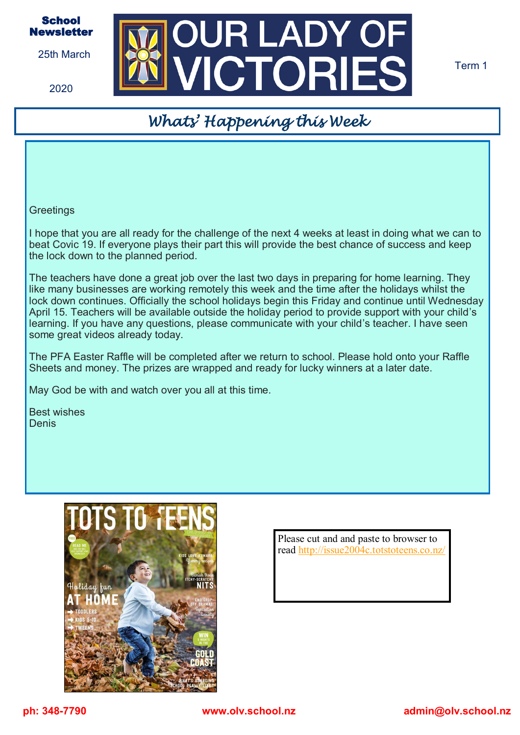

25th March

2020



Term 1

## *Whats' Happening this Week*

**Greetings** 

I hope that you are all ready for the challenge of the next 4 weeks at least in doing what we can to beat Covic 19. If everyone plays their part this will provide the best chance of success and keep the lock down to the planned period.

The teachers have done a great job over the last two days in preparing for home learning. They like many businesses are working remotely this week and the time after the holidays whilst the lock down continues. Officially the school holidays begin this Friday and continue until Wednesday April 15. Teachers will be available outside the holiday period to provide support with your child's learning. If you have any questions, please communicate with your child's teacher. I have seen some great videos already today.

The PFA Easter Raffle will be completed after we return to school. Please hold onto your Raffle Sheets and money. The prizes are wrapped and ready for lucky winners at a later date.

May God be with and watch over you all at this time.

Best wishes **Denis** 



Please cut and and paste to browser to read <http://issue2004c.totstoteens.co.nz/>